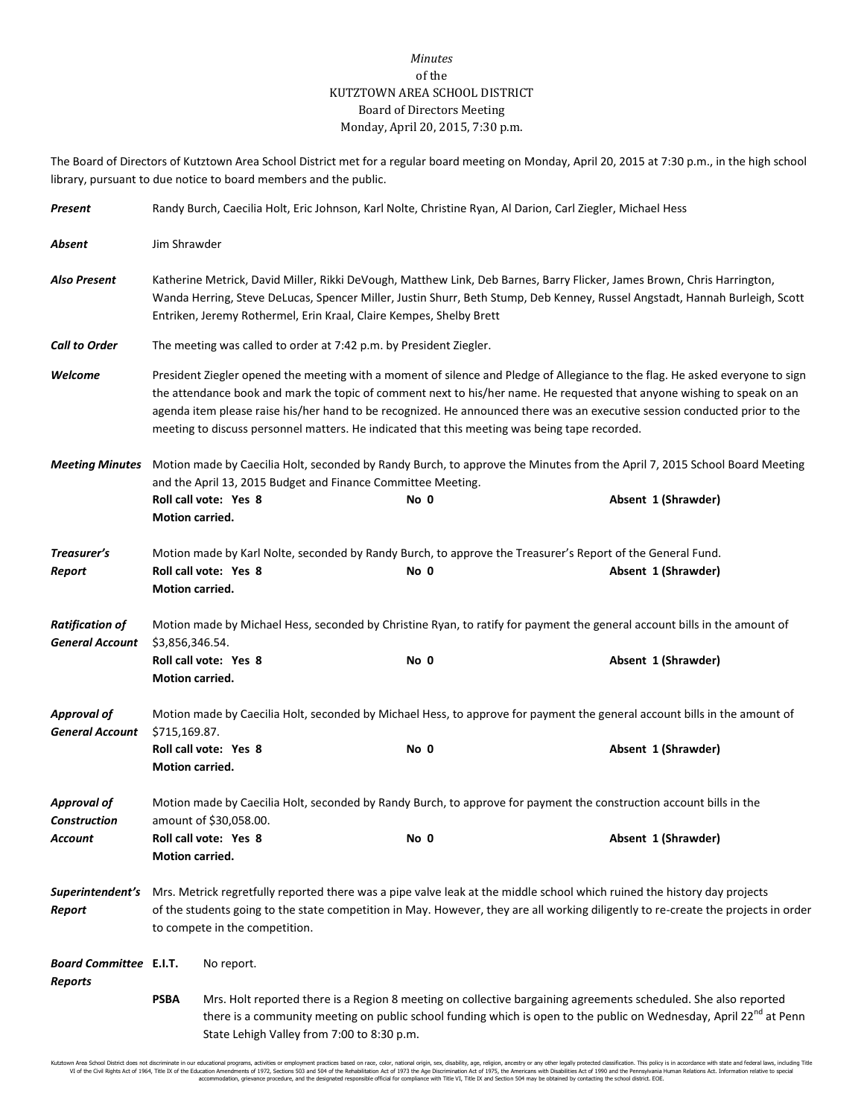## *Minutes* of the KUTZTOWN AREA SCHOOL DISTRICT Board of Directors Meeting Monday, April 20, 2015, 7:30 p.m.

The Board of Directors of Kutztown Area School District met for a regular board meeting on Monday, April 20, 2015 at 7:30 p.m., in the high school library, pursuant to due notice to board members and the public.

| Present                                          | Randy Burch, Caecilia Holt, Eric Johnson, Karl Nolte, Christine Ryan, Al Darion, Carl Ziegler, Michael Hess                                                                                                                                                                                                                                                                                                                                                                             |                       |  |      |  |                                                                                                                                   |  |
|--------------------------------------------------|-----------------------------------------------------------------------------------------------------------------------------------------------------------------------------------------------------------------------------------------------------------------------------------------------------------------------------------------------------------------------------------------------------------------------------------------------------------------------------------------|-----------------------|--|------|--|-----------------------------------------------------------------------------------------------------------------------------------|--|
| Absent                                           | Jim Shrawder                                                                                                                                                                                                                                                                                                                                                                                                                                                                            |                       |  |      |  |                                                                                                                                   |  |
| <b>Also Present</b>                              | Katherine Metrick, David Miller, Rikki DeVough, Matthew Link, Deb Barnes, Barry Flicker, James Brown, Chris Harrington,<br>Wanda Herring, Steve DeLucas, Spencer Miller, Justin Shurr, Beth Stump, Deb Kenney, Russel Angstadt, Hannah Burleigh, Scott<br>Entriken, Jeremy Rothermel, Erin Kraal, Claire Kempes, Shelby Brett                                                                                                                                                           |                       |  |      |  |                                                                                                                                   |  |
| <b>Call to Order</b>                             | The meeting was called to order at 7:42 p.m. by President Ziegler.                                                                                                                                                                                                                                                                                                                                                                                                                      |                       |  |      |  |                                                                                                                                   |  |
| Welcome                                          | President Ziegler opened the meeting with a moment of silence and Pledge of Allegiance to the flag. He asked everyone to sign<br>the attendance book and mark the topic of comment next to his/her name. He requested that anyone wishing to speak on an<br>agenda item please raise his/her hand to be recognized. He announced there was an executive session conducted prior to the<br>meeting to discuss personnel matters. He indicated that this meeting was being tape recorded. |                       |  |      |  |                                                                                                                                   |  |
| <b>Meeting Minutes</b>                           | Motion made by Caecilia Holt, seconded by Randy Burch, to approve the Minutes from the April 7, 2015 School Board Meeting<br>and the April 13, 2015 Budget and Finance Committee Meeting.                                                                                                                                                                                                                                                                                               |                       |  |      |  |                                                                                                                                   |  |
|                                                  | <b>Motion carried.</b>                                                                                                                                                                                                                                                                                                                                                                                                                                                                  | Roll call vote: Yes 8 |  | No 0 |  | Absent 1 (Shrawder)                                                                                                               |  |
| Treasurer's<br>Report                            | Motion carried.                                                                                                                                                                                                                                                                                                                                                                                                                                                                         | Roll call vote: Yes 8 |  | No 0 |  | Motion made by Karl Nolte, seconded by Randy Burch, to approve the Treasurer's Report of the General Fund.<br>Absent 1 (Shrawder) |  |
| <b>Ratification of</b><br><b>General Account</b> | Motion made by Michael Hess, seconded by Christine Ryan, to ratify for payment the general account bills in the amount of<br>\$3,856,346.54.                                                                                                                                                                                                                                                                                                                                            |                       |  |      |  |                                                                                                                                   |  |
|                                                  | Motion carried.                                                                                                                                                                                                                                                                                                                                                                                                                                                                         | Roll call vote: Yes 8 |  | No 0 |  | Absent 1 (Shrawder)                                                                                                               |  |
| <b>Approval of</b><br><b>General Account</b>     | Motion made by Caecilia Holt, seconded by Michael Hess, to approve for payment the general account bills in the amount of<br>\$715,169.87.                                                                                                                                                                                                                                                                                                                                              |                       |  |      |  |                                                                                                                                   |  |
|                                                  | Motion carried.                                                                                                                                                                                                                                                                                                                                                                                                                                                                         | Roll call vote: Yes 8 |  | No 0 |  | Absent 1 (Shrawder)                                                                                                               |  |
| <b>Approval of</b><br><b>Construction</b>        | Motion made by Caecilia Holt, seconded by Randy Burch, to approve for payment the construction account bills in the<br>amount of \$30,058.00.                                                                                                                                                                                                                                                                                                                                           |                       |  |      |  |                                                                                                                                   |  |
| Account                                          | Motion carried.                                                                                                                                                                                                                                                                                                                                                                                                                                                                         | Roll call vote: Yes 8 |  | No 0 |  | Absent 1 (Shrawder)                                                                                                               |  |
| Superintendent's<br>Report                       | Mrs. Metrick regretfully reported there was a pipe valve leak at the middle school which ruined the history day projects<br>of the students going to the state competition in May. However, they are all working diligently to re-create the projects in order<br>to compete in the competition.                                                                                                                                                                                        |                       |  |      |  |                                                                                                                                   |  |
| <b>Board Committee E.I.T.</b><br>Reports         |                                                                                                                                                                                                                                                                                                                                                                                                                                                                                         | No report.            |  |      |  |                                                                                                                                   |  |
|                                                  | Mrs. Holt reported there is a Region 8 meeting on collective bargaining agreements scheduled. She also reported<br><b>PSBA</b><br>there is a community meeting on public school funding which is open to the public on Wednesday, April 22 <sup>nd</sup> at Penn<br>State Lehigh Valley from 7:00 to 8:30 p.m.                                                                                                                                                                          |                       |  |      |  |                                                                                                                                   |  |

Kutztown Area School District does not discriminate in our educational programs, activities or employment practices based on race, color, national origin, sex, disability, age, religion, ancestry or any other legally prot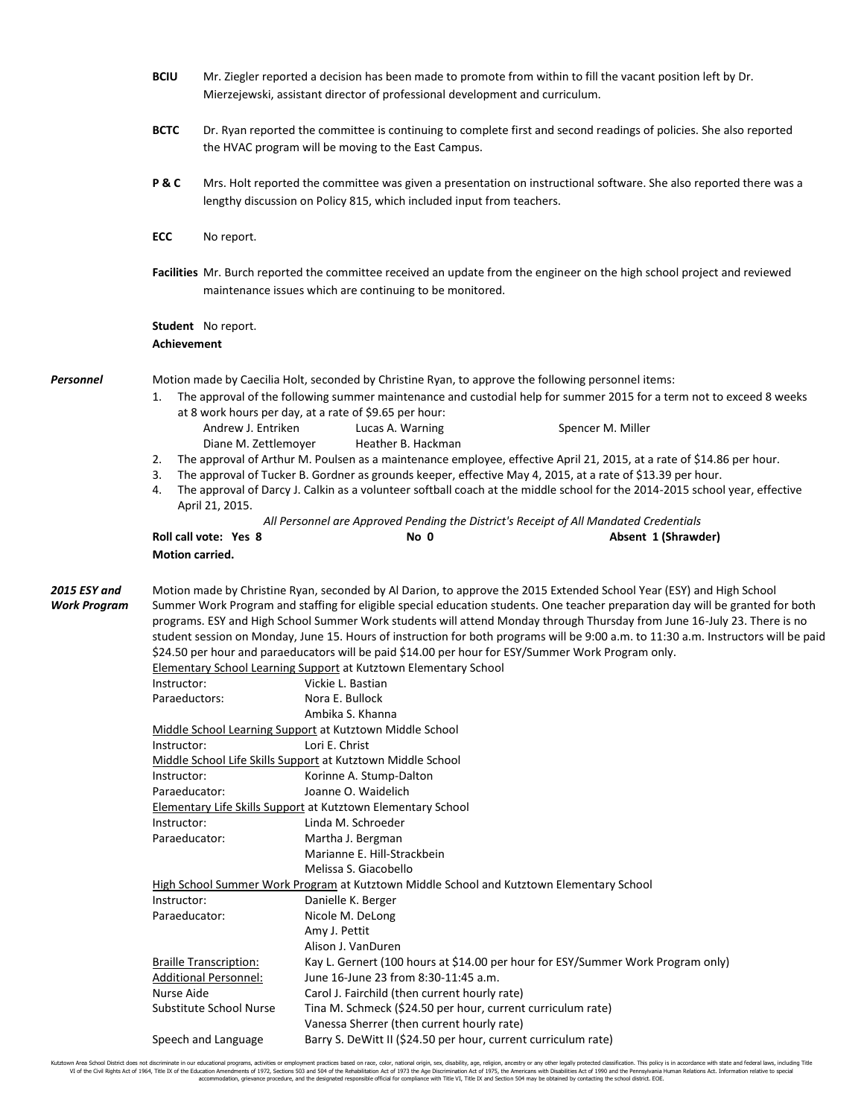|                                     | <b>BCIU</b>        | Mr. Ziegler reported a decision has been made to promote from within to fill the vacant position left by Dr.<br>Mierzejewski, assistant director of professional development and curriculum. |                                                                                                                                                                        |                                                                                                                                                                                                                                                                                                                                                                                                                                                                                                                           |  |  |  |  |  |
|-------------------------------------|--------------------|----------------------------------------------------------------------------------------------------------------------------------------------------------------------------------------------|------------------------------------------------------------------------------------------------------------------------------------------------------------------------|---------------------------------------------------------------------------------------------------------------------------------------------------------------------------------------------------------------------------------------------------------------------------------------------------------------------------------------------------------------------------------------------------------------------------------------------------------------------------------------------------------------------------|--|--|--|--|--|
|                                     | <b>BCTC</b>        | Dr. Ryan reported the committee is continuing to complete first and second readings of policies. She also reported<br>the HVAC program will be moving to the East Campus.                    |                                                                                                                                                                        |                                                                                                                                                                                                                                                                                                                                                                                                                                                                                                                           |  |  |  |  |  |
|                                     | P&C                | Mrs. Holt reported the committee was given a presentation on instructional software. She also reported there was a<br>lengthy discussion on Policy 815, which included input from teachers.  |                                                                                                                                                                        |                                                                                                                                                                                                                                                                                                                                                                                                                                                                                                                           |  |  |  |  |  |
|                                     | ECC                | No report.                                                                                                                                                                                   |                                                                                                                                                                        |                                                                                                                                                                                                                                                                                                                                                                                                                                                                                                                           |  |  |  |  |  |
|                                     |                    |                                                                                                                                                                                              | maintenance issues which are continuing to be monitored.                                                                                                               | Facilities Mr. Burch reported the committee received an update from the engineer on the high school project and reviewed                                                                                                                                                                                                                                                                                                                                                                                                  |  |  |  |  |  |
|                                     | <b>Achievement</b> | <b>Student</b> No report.                                                                                                                                                                    |                                                                                                                                                                        |                                                                                                                                                                                                                                                                                                                                                                                                                                                                                                                           |  |  |  |  |  |
| Personnel                           |                    | Motion made by Caecilia Holt, seconded by Christine Ryan, to approve the following personnel items:                                                                                          |                                                                                                                                                                        |                                                                                                                                                                                                                                                                                                                                                                                                                                                                                                                           |  |  |  |  |  |
|                                     | 1.                 |                                                                                                                                                                                              |                                                                                                                                                                        | The approval of the following summer maintenance and custodial help for summer 2015 for a term not to exceed 8 weeks                                                                                                                                                                                                                                                                                                                                                                                                      |  |  |  |  |  |
|                                     |                    |                                                                                                                                                                                              | at 8 work hours per day, at a rate of \$9.65 per hour:                                                                                                                 |                                                                                                                                                                                                                                                                                                                                                                                                                                                                                                                           |  |  |  |  |  |
|                                     |                    | Andrew J. Entriken<br>Diane M. Zettlemover                                                                                                                                                   | Lucas A. Warning<br>Heather B. Hackman                                                                                                                                 | Spencer M. Miller                                                                                                                                                                                                                                                                                                                                                                                                                                                                                                         |  |  |  |  |  |
|                                     | 2.                 |                                                                                                                                                                                              |                                                                                                                                                                        | The approval of Arthur M. Poulsen as a maintenance employee, effective April 21, 2015, at a rate of \$14.86 per hour.                                                                                                                                                                                                                                                                                                                                                                                                     |  |  |  |  |  |
|                                     | 3.                 |                                                                                                                                                                                              |                                                                                                                                                                        | The approval of Tucker B. Gordner as grounds keeper, effective May 4, 2015, at a rate of \$13.39 per hour.                                                                                                                                                                                                                                                                                                                                                                                                                |  |  |  |  |  |
|                                     | 4.                 |                                                                                                                                                                                              |                                                                                                                                                                        | The approval of Darcy J. Calkin as a volunteer softball coach at the middle school for the 2014-2015 school year, effective                                                                                                                                                                                                                                                                                                                                                                                               |  |  |  |  |  |
|                                     |                    | April 21, 2015.                                                                                                                                                                              |                                                                                                                                                                        |                                                                                                                                                                                                                                                                                                                                                                                                                                                                                                                           |  |  |  |  |  |
|                                     |                    |                                                                                                                                                                                              |                                                                                                                                                                        | All Personnel are Approved Pending the District's Receipt of All Mandated Credentials                                                                                                                                                                                                                                                                                                                                                                                                                                     |  |  |  |  |  |
|                                     |                    | Roll call vote: Yes 8                                                                                                                                                                        | No 0                                                                                                                                                                   | Absent 1 (Shrawder)                                                                                                                                                                                                                                                                                                                                                                                                                                                                                                       |  |  |  |  |  |
|                                     | Motion carried.    |                                                                                                                                                                                              |                                                                                                                                                                        |                                                                                                                                                                                                                                                                                                                                                                                                                                                                                                                           |  |  |  |  |  |
| 2015 ESY and<br><b>Work Program</b> |                    |                                                                                                                                                                                              | \$24.50 per hour and paraeducators will be paid \$14.00 per hour for ESY/Summer Work Program only.<br>Elementary School Learning Support at Kutztown Elementary School | Motion made by Christine Ryan, seconded by Al Darion, to approve the 2015 Extended School Year (ESY) and High School<br>Summer Work Program and staffing for eligible special education students. One teacher preparation day will be granted for both<br>programs. ESY and High School Summer Work students will attend Monday through Thursday from June 16-July 23. There is no<br>student session on Monday, June 15. Hours of instruction for both programs will be 9:00 a.m. to 11:30 a.m. Instructors will be paid |  |  |  |  |  |
|                                     | Instructor:        |                                                                                                                                                                                              | Vickie L. Bastian                                                                                                                                                      |                                                                                                                                                                                                                                                                                                                                                                                                                                                                                                                           |  |  |  |  |  |
|                                     | Paraeductors:      |                                                                                                                                                                                              | Nora E. Bullock                                                                                                                                                        |                                                                                                                                                                                                                                                                                                                                                                                                                                                                                                                           |  |  |  |  |  |
|                                     |                    | Ambika S. Khanna<br>Middle School Learning Support at Kutztown Middle School                                                                                                                 |                                                                                                                                                                        |                                                                                                                                                                                                                                                                                                                                                                                                                                                                                                                           |  |  |  |  |  |
|                                     |                    | Lori E. Christ<br>Instructor:                                                                                                                                                                |                                                                                                                                                                        |                                                                                                                                                                                                                                                                                                                                                                                                                                                                                                                           |  |  |  |  |  |
|                                     |                    |                                                                                                                                                                                              | Middle School Life Skills Support at Kutztown Middle School                                                                                                            |                                                                                                                                                                                                                                                                                                                                                                                                                                                                                                                           |  |  |  |  |  |
|                                     | Instructor:        |                                                                                                                                                                                              | Korinne A. Stump-Dalton                                                                                                                                                |                                                                                                                                                                                                                                                                                                                                                                                                                                                                                                                           |  |  |  |  |  |
|                                     | Paraeducator:      |                                                                                                                                                                                              | Joanne O. Waidelich                                                                                                                                                    |                                                                                                                                                                                                                                                                                                                                                                                                                                                                                                                           |  |  |  |  |  |
|                                     |                    | Elementary Life Skills Support at Kutztown Elementary School                                                                                                                                 |                                                                                                                                                                        |                                                                                                                                                                                                                                                                                                                                                                                                                                                                                                                           |  |  |  |  |  |
|                                     | Instructor:        |                                                                                                                                                                                              | Linda M. Schroeder                                                                                                                                                     |                                                                                                                                                                                                                                                                                                                                                                                                                                                                                                                           |  |  |  |  |  |
|                                     | Paraeducator:      |                                                                                                                                                                                              | Martha J. Bergman                                                                                                                                                      |                                                                                                                                                                                                                                                                                                                                                                                                                                                                                                                           |  |  |  |  |  |
|                                     |                    |                                                                                                                                                                                              | Marianne E. Hill-Strackbein<br>Melissa S. Giacobello                                                                                                                   |                                                                                                                                                                                                                                                                                                                                                                                                                                                                                                                           |  |  |  |  |  |
|                                     |                    |                                                                                                                                                                                              | <b>High School Summer Work Program at Kutztown Middle School and Kutztown Elementary School</b>                                                                        |                                                                                                                                                                                                                                                                                                                                                                                                                                                                                                                           |  |  |  |  |  |
|                                     | Instructor:        |                                                                                                                                                                                              | Danielle K. Berger                                                                                                                                                     |                                                                                                                                                                                                                                                                                                                                                                                                                                                                                                                           |  |  |  |  |  |
|                                     | Paraeducator:      |                                                                                                                                                                                              | Nicole M. DeLong                                                                                                                                                       |                                                                                                                                                                                                                                                                                                                                                                                                                                                                                                                           |  |  |  |  |  |
|                                     |                    |                                                                                                                                                                                              | Amy J. Pettit                                                                                                                                                          |                                                                                                                                                                                                                                                                                                                                                                                                                                                                                                                           |  |  |  |  |  |
|                                     |                    |                                                                                                                                                                                              | Alison J. VanDuren                                                                                                                                                     |                                                                                                                                                                                                                                                                                                                                                                                                                                                                                                                           |  |  |  |  |  |
|                                     |                    | <b>Braille Transcription:</b>                                                                                                                                                                |                                                                                                                                                                        | Kay L. Gernert (100 hours at \$14.00 per hour for ESY/Summer Work Program only)                                                                                                                                                                                                                                                                                                                                                                                                                                           |  |  |  |  |  |
|                                     |                    | <b>Additional Personnel:</b>                                                                                                                                                                 | June 16-June 23 from 8:30-11:45 a.m.                                                                                                                                   |                                                                                                                                                                                                                                                                                                                                                                                                                                                                                                                           |  |  |  |  |  |
|                                     | Nurse Aide         |                                                                                                                                                                                              | Carol J. Fairchild (then current hourly rate)                                                                                                                          |                                                                                                                                                                                                                                                                                                                                                                                                                                                                                                                           |  |  |  |  |  |
|                                     |                    | Substitute School Nurse                                                                                                                                                                      | Tina M. Schmeck (\$24.50 per hour, current curriculum rate)                                                                                                            |                                                                                                                                                                                                                                                                                                                                                                                                                                                                                                                           |  |  |  |  |  |
|                                     |                    |                                                                                                                                                                                              | Vanessa Sherrer (then current hourly rate)                                                                                                                             |                                                                                                                                                                                                                                                                                                                                                                                                                                                                                                                           |  |  |  |  |  |
|                                     |                    | Speech and Language                                                                                                                                                                          | Barry S. DeWitt II (\$24.50 per hour, current curriculum rate)                                                                                                         |                                                                                                                                                                                                                                                                                                                                                                                                                                                                                                                           |  |  |  |  |  |

Kutztown Area School District does not discriminate in our educational programs, activities or employment practices based on race, color, national origin, sex, disability, age, religion, ancestry or any other legally prot